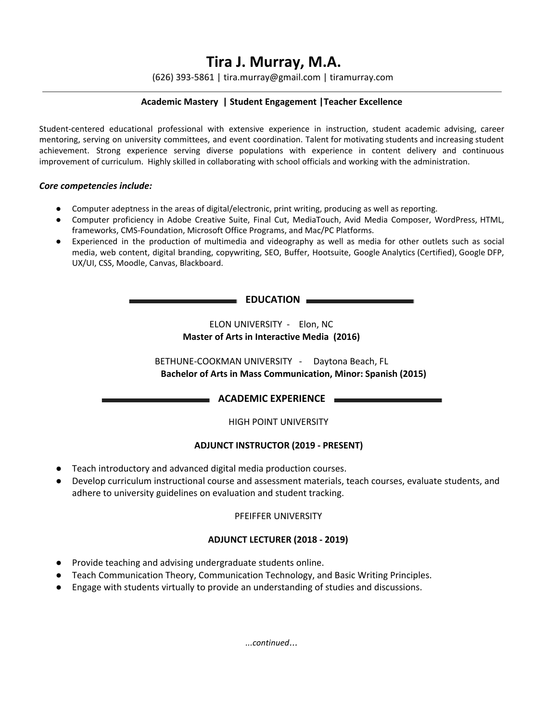# **Tira J. Murray, M.A.**

(626) 393-5861 | tira.murray@gmail.com | tiramurray.com

# **Academic Mastery | Student Engagement |Teacher Excellence**

Student-centered educational professional with extensive experience in instruction, student academic advising, career mentoring, serving on university committees, and event coordination. Talent for motivating students and increasing student achievement. Strong experience serving diverse populations with experience in content delivery and continuous improvement of curriculum. Highly skilled in collaborating with school officials and working with the administration.

#### *Core competencies include:*

- Computer adeptness in the areas of digital/electronic, print writing, producing as well as reporting.
- Computer proficiency in Adobe Creative Suite, Final Cut, MediaTouch, Avid Media Composer, WordPress, HTML, frameworks, CMS-Foundation, Microsoft Office Programs, and Mac/PC Platforms.
- Experienced in the production of multimedia and videography as well as media for other outlets such as social media, web content, digital branding, copywriting, SEO, Buffer, Hootsuite, Google Analytics (Certified), Google DFP, UX/UI, CSS, Moodle, Canvas, Blackboard.

#### **EDUCATION**

ELON UNIVERSITY - Elon, NC **Master of Arts in Interactive Media (2016)**

BETHUNE-COOKMAN UNIVERSITY - Daytona Beach, FL **Bachelor of Arts in Mass Communication, Minor: Spanish (2015)**

**ACADEMIC EXPERIENCE** 

HIGH POINT UNIVERSITY

# **ADJUNCT INSTRUCTOR (2019 - PRESENT)**

- Teach introductory and advanced digital media production courses.
- Develop curriculum instructional course and assessment materials, teach courses, evaluate students, and adhere to university guidelines on evaluation and student tracking.

# PFEIFFER UNIVERSITY

# **ADJUNCT LECTURER (2018 - 2019)**

- Provide teaching and advising undergraduate students online.
- Teach Communication Theory, Communication Technology, and Basic Writing Principles.
- Engage with students virtually to provide an understanding of studies and discussions.

*...continued*…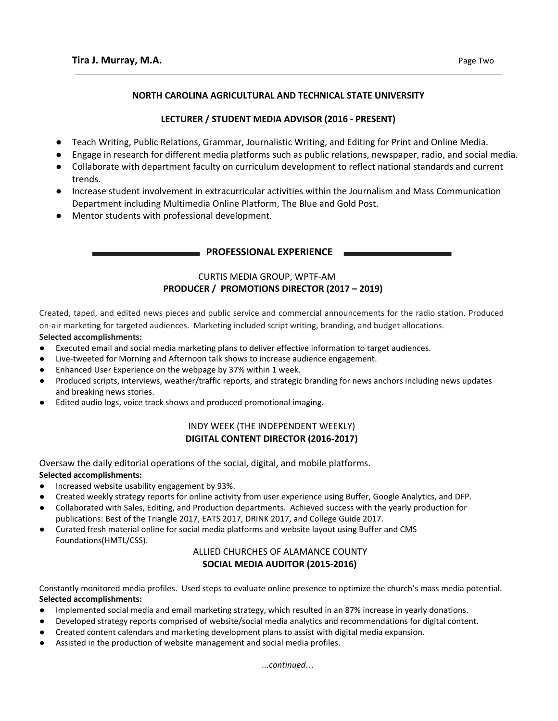#### **NORTH CAROLINA AGRICULTURAL AND TECHNICAL STATE UNIVERSITY**

# **LECTURER / STUDENT MEDIA ADVISOR (2016 - PRESENT)**

- Teach Writing, Public Relations, Grammar, Journalistic Writing, and Editing for Print and Online Media.
- Engage in research for different media platforms such as public relations, newspaper, radio, and social media.
- Collaborate with department faculty on curriculum development to reflect national standards and current trends.
- Increase student involvement in extracurricular activities within the Journalism and Mass Communication Department including Multimedia Online Platform, The Blue and Gold Post.
- Mentor students with professional development.

#### **PROFESSIONAL EXPERIENCE**

# CURTIS MEDIA GROUP, WPTF-AM **PRODUCER / PROMOTIONS DIRECTOR (2017 – 2019)**

Created, taped, and edited news pieces and public service and commercial announcements for the radio station. Produced on-air marketing for targeted audiences. Marketing included script writing, branding, and budget allocations.

#### **Selected accomplishments:**

- Executed email and social media marketing plans to deliver effective information to target audiences.
- Live-tweeted for Morning and Afternoon talk shows to increase audience engagement.
- Enhanced User Experience on the webpage by 37% within 1 week.
- Produced scripts, interviews, weather/traffic reports, and strategic branding for news anchors including news updates and breaking news stories.
- Edited audio logs, voice track shows and produced promotional imaging.

# INDY WEEK (THE INDEPENDENT WEEKLY) **DIGITAL CONTENT DIRECTOR (2016-2017)**

Oversaw the daily editorial operations of the social, digital, and mobile platforms.

#### **Selected accomplishments:**

- Increased website usability engagement by 93%.
- Created weekly strategy reports for online activity from user experience using Buffer, Google Analytics, and DFP.
- Collaborated with Sales, Editing, and Production departments. Achieved success with the yearly production for publications: Best of the Triangle 2017, EATS 2017, DRINK 2017, and College Guide 2017.
- Curated fresh material online for social media platforms and website layout using Buffer and CMS Foundations(HMTL/CSS).

# ALLIED CHURCHES OF ALAMANCE COUNTY **SOCIAL MEDIA AUDITOR (2015-2016)**

Constantly monitored media profiles. Used steps to evaluate online presence to optimize the church's mass media potential. **Selected accomplishments:**

- Implemented social media and email marketing strategy, which resulted in an 87% increase in yearly donations.
- Developed strategy reports comprised of website/social media analytics and recommendations for digital content.
- Created content calendars and marketing development plans to assist with digital media expansion.
- Assisted in the production of website management and social media profiles.